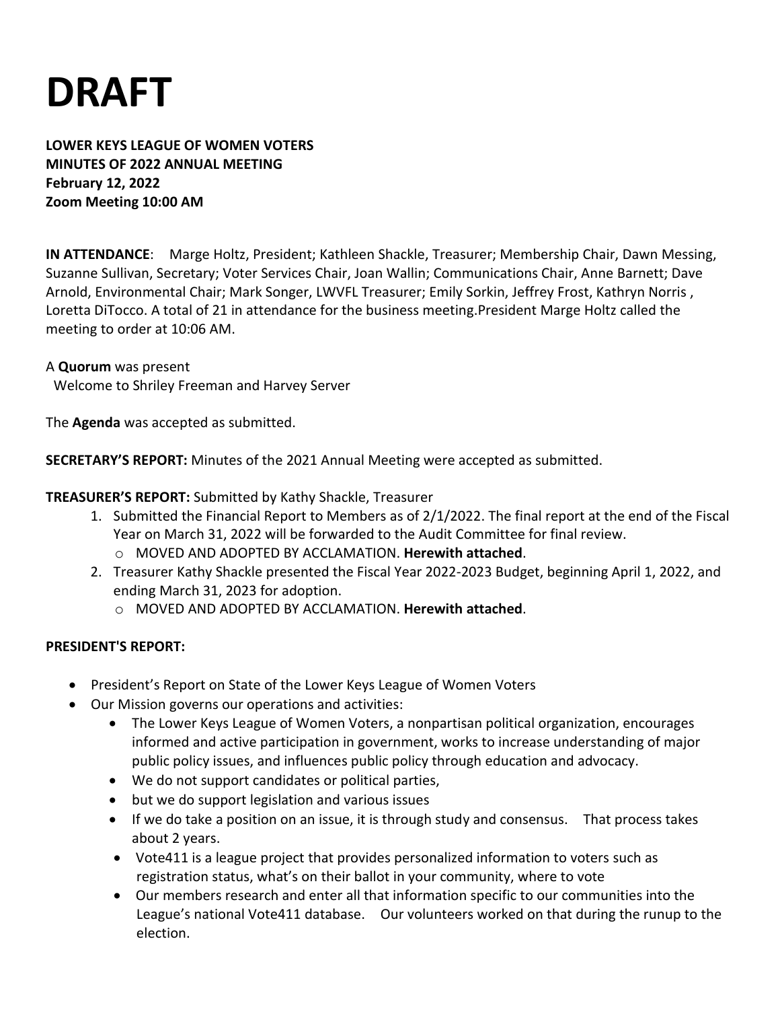# **DRAFT**

**LOWER KEYS LEAGUE OF WOMEN VOTERS MINUTES OF 2022 ANNUAL MEETING February 12, 2022 Zoom Meeting 10:00 AM**

**IN ATTENDANCE**: Marge Holtz, President; Kathleen Shackle, Treasurer; Membership Chair, Dawn Messing, Suzanne Sullivan, Secretary; Voter Services Chair, Joan Wallin; Communications Chair, Anne Barnett; Dave Arnold, Environmental Chair; Mark Songer, LWVFL Treasurer; Emily Sorkin, Jeffrey Frost, Kathryn Norris , Loretta DiTocco. A total of 21 in attendance for the business meeting.President Marge Holtz called the meeting to order at 10:06 AM.

#### A **Quorum** was present

Welcome to Shriley Freeman and Harvey Server

The **Agenda** was accepted as submitted.

**SECRETARY'S REPORT:** Minutes of the 2021 Annual Meeting were accepted as submitted.

### **TREASURER'S REPORT:** Submitted by Kathy Shackle, Treasurer

- 1. Submitted the Financial Report to Members as of 2/1/2022. The final report at the end of the Fiscal Year on March 31, 2022 will be forwarded to the Audit Committee for final review.
	- o MOVED AND ADOPTED BY ACCLAMATION. **Herewith attached**.
- 2. Treasurer Kathy Shackle presented the Fiscal Year 2022-2023 Budget, beginning April 1, 2022, and ending March 31, 2023 for adoption.
	- o MOVED AND ADOPTED BY ACCLAMATION. **Herewith attached**.

#### **PRESIDENT'S REPORT:**

- President's Report on State of the Lower Keys League of Women Voters
- Our Mission governs our operations and activities:
	- The Lower Keys League of Women Voters, a nonpartisan political organization, encourages informed and active participation in government, works to increase understanding of major public policy issues, and influences public policy through education and advocacy.
	- We do not support candidates or political parties,
	- but we do support legislation and various issues
	- If we do take a position on an issue, it is through study and consensus. That process takes about 2 years.
	- Vote411 is a league project that provides personalized information to voters such as registration status, what's on their ballot in your community, where to vote
	- Our members research and enter all that information specific to our communities into the League's national Vote411 database. Our volunteers worked on that during the runup to the election.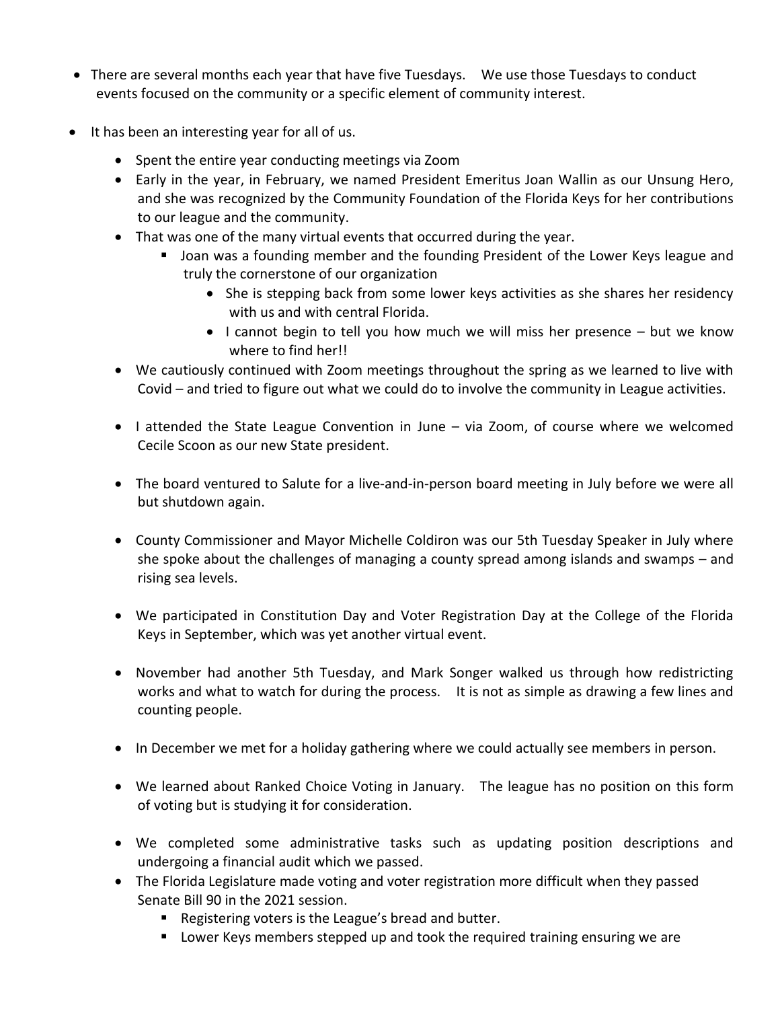- There are several months each year that have five Tuesdays. We use those Tuesdays to conduct events focused on the community or a specific element of community interest.
- It has been an interesting year for all of us.
	- Spent the entire year conducting meetings via Zoom
	- Early in the year, in February, we named President Emeritus Joan Wallin as our Unsung Hero, and she was recognized by the Community Foundation of the Florida Keys for her contributions to our league and the community.
	- That was one of the many virtual events that occurred during the year.
		- Joan was a founding member and the founding President of the Lower Keys league and truly the cornerstone of our organization
			- She is stepping back from some lower keys activities as she shares her residency with us and with central Florida.
			- I cannot begin to tell you how much we will miss her presence but we know where to find her!!
	- We cautiously continued with Zoom meetings throughout the spring as we learned to live with Covid – and tried to figure out what we could do to involve the community in League activities.
	- I attended the State League Convention in June via Zoom, of course where we welcomed Cecile Scoon as our new State president.
	- The board ventured to Salute for a live-and-in-person board meeting in July before we were all but shutdown again.
	- County Commissioner and Mayor Michelle Coldiron was our 5th Tuesday Speaker in July where she spoke about the challenges of managing a county spread among islands and swamps – and rising sea levels.
	- We participated in Constitution Day and Voter Registration Day at the College of the Florida Keys in September, which was yet another virtual event.
	- November had another 5th Tuesday, and Mark Songer walked us through how redistricting works and what to watch for during the process. It is not as simple as drawing a few lines and counting people.
	- In December we met for a holiday gathering where we could actually see members in person.
	- We learned about Ranked Choice Voting in January. The league has no position on this form of voting but is studying it for consideration.
	- We completed some administrative tasks such as updating position descriptions and undergoing a financial audit which we passed.
	- The Florida Legislature made voting and voter registration more difficult when they passed Senate Bill 90 in the 2021 session.
		- Registering voters is the League's bread and butter.
		- Lower Keys members stepped up and took the required training ensuring we are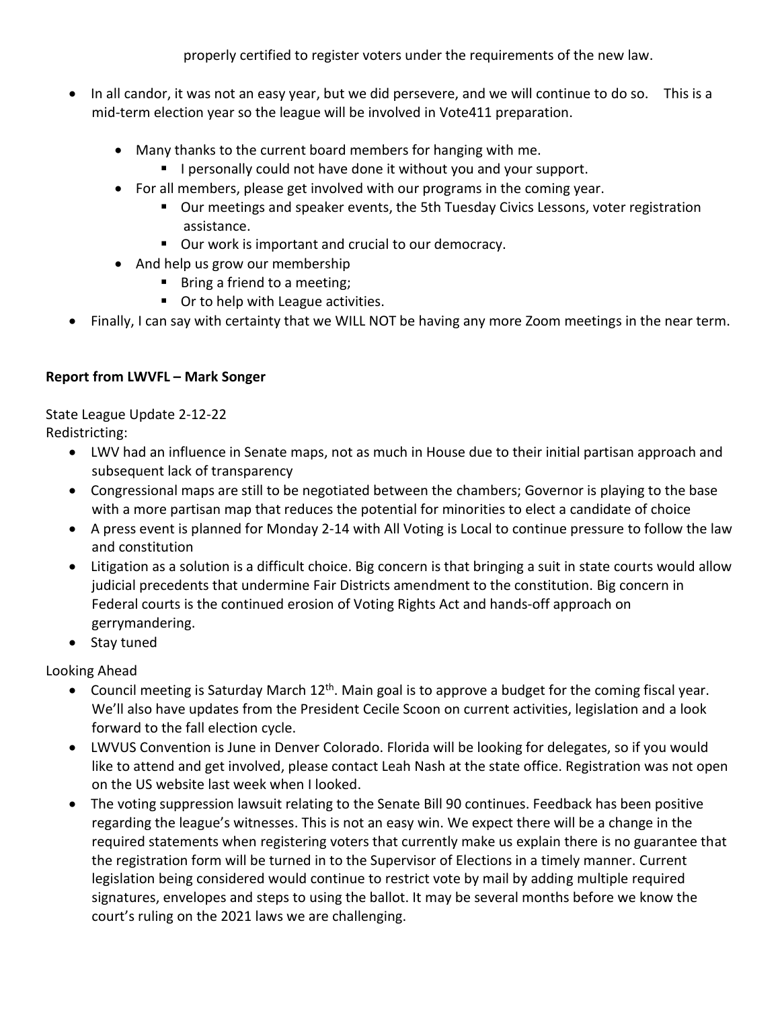properly certified to register voters under the requirements of the new law.

- In all candor, it was not an easy year, but we did persevere, and we will continue to do so. This is a mid-term election year so the league will be involved in Vote411 preparation.
	- Many thanks to the current board members for hanging with me.
		- **E** I personally could not have done it without you and your support.
	- For all members, please get involved with our programs in the coming year.
		- Our meetings and speaker events, the 5th Tuesday Civics Lessons, voter registration assistance.
		- Our work is important and crucial to our democracy.
	- And help us grow our membership
		- Bring a friend to a meeting;
		- Or to help with League activities.
- Finally, I can say with certainty that we WILL NOT be having any more Zoom meetings in the near term.

## **Report from LWVFL – Mark Songer**

State League Update 2-12-22 Redistricting:

- LWV had an influence in Senate maps, not as much in House due to their initial partisan approach and subsequent lack of transparency
- Congressional maps are still to be negotiated between the chambers; Governor is playing to the base with a more partisan map that reduces the potential for minorities to elect a candidate of choice
- A press event is planned for Monday 2-14 with All Voting is Local to continue pressure to follow the law and constitution
- Litigation as a solution is a difficult choice. Big concern is that bringing a suit in state courts would allow judicial precedents that undermine Fair Districts amendment to the constitution. Big concern in Federal courts is the continued erosion of Voting Rights Act and hands-off approach on gerrymandering.
- Stay tuned

Looking Ahead

- Council meeting is Saturday March  $12<sup>th</sup>$ . Main goal is to approve a budget for the coming fiscal year. We'll also have updates from the President Cecile Scoon on current activities, legislation and a look forward to the fall election cycle.
- LWVUS Convention is June in Denver Colorado. Florida will be looking for delegates, so if you would like to attend and get involved, please contact Leah Nash at the state office. Registration was not open on the US website last week when I looked.
- The voting suppression lawsuit relating to the Senate Bill 90 continues. Feedback has been positive regarding the league's witnesses. This is not an easy win. We expect there will be a change in the required statements when registering voters that currently make us explain there is no guarantee that the registration form will be turned in to the Supervisor of Elections in a timely manner. Current legislation being considered would continue to restrict vote by mail by adding multiple required signatures, envelopes and steps to using the ballot. It may be several months before we know the court's ruling on the 2021 laws we are challenging.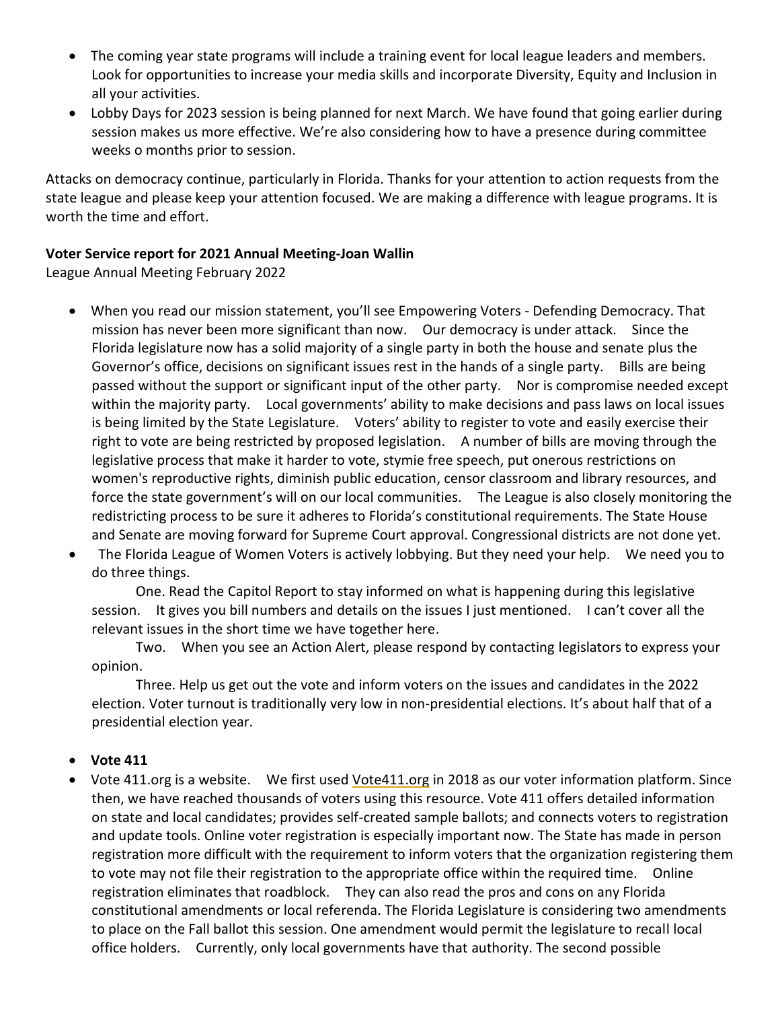- The coming year state programs will include a training event for local league leaders and members. Look for opportunities to increase your media skills and incorporate Diversity, Equity and Inclusion in all your activities.
- Lobby Days for 2023 session is being planned for next March. We have found that going earlier during session makes us more effective. We're also considering how to have a presence during committee weeks o months prior to session.

Attacks on democracy continue, particularly in Florida. Thanks for your attention to action requests from the state league and please keep your attention focused. We are making a difference with league programs. It is worth the time and effort.

#### **Voter Service report for 2021 Annual Meeting-Joan Wallin**

League Annual Meeting February 2022

- When you read our mission statement, you'll see Empowering Voters Defending Democracy. That mission has never been more significant than now. Our democracy is under attack. Since the Florida legislature now has a solid majority of a single party in both the house and senate plus the Governor's office, decisions on significant issues rest in the hands of a single party. Bills are being passed without the support or significant input of the other party. Nor is compromise needed except within the majority party. Local governments' ability to make decisions and pass laws on local issues is being limited by the State Legislature. Voters' ability to register to vote and easily exercise their right to vote are being restricted by proposed legislation. A number of bills are moving through the legislative process that make it harder to vote, stymie free speech, put onerous restrictions on women's reproductive rights, diminish public education, censor classroom and library resources, and force the state government's will on our local communities. The League is also closely monitoring the redistricting process to be sure it adheres to Florida's constitutional requirements. The State House and Senate are moving forward for Supreme Court approval. Congressional districts are not done yet.
- The Florida League of Women Voters is actively lobbying. But they need your help. We need you to do three things.

One. Read the Capitol Report to stay informed on what is happening during this legislative session. It gives you bill numbers and details on the issues I just mentioned. I can't cover all the relevant issues in the short time we have together here.

Two. When you see an Action Alert, please respond by contacting legislators to express your opinion.

Three. Help us get out the vote and inform voters on the issues and candidates in the 2022 election. Voter turnout is traditionally very low in non-presidential elections. It's about half that of a presidential election year.

## • **Vote 411**

• Vote 411.org is a website. We first used [Vote411.org](http://vote411.org/) in 2018 as our voter information platform. Since then, we have reached thousands of voters using this resource. Vote 411 offers detailed information on state and local candidates; provides self-created sample ballots; and connects voters to registration and update tools. Online voter registration is especially important now. The State has made in person registration more difficult with the requirement to inform voters that the organization registering them to vote may not file their registration to the appropriate office within the required time. Online registration eliminates that roadblock. They can also read the pros and cons on any Florida constitutional amendments or local referenda. The Florida Legislature is considering two amendments to place on the Fall ballot this session. One amendment would permit the legislature to recall local office holders. Currently, only local governments have that authority. The second possible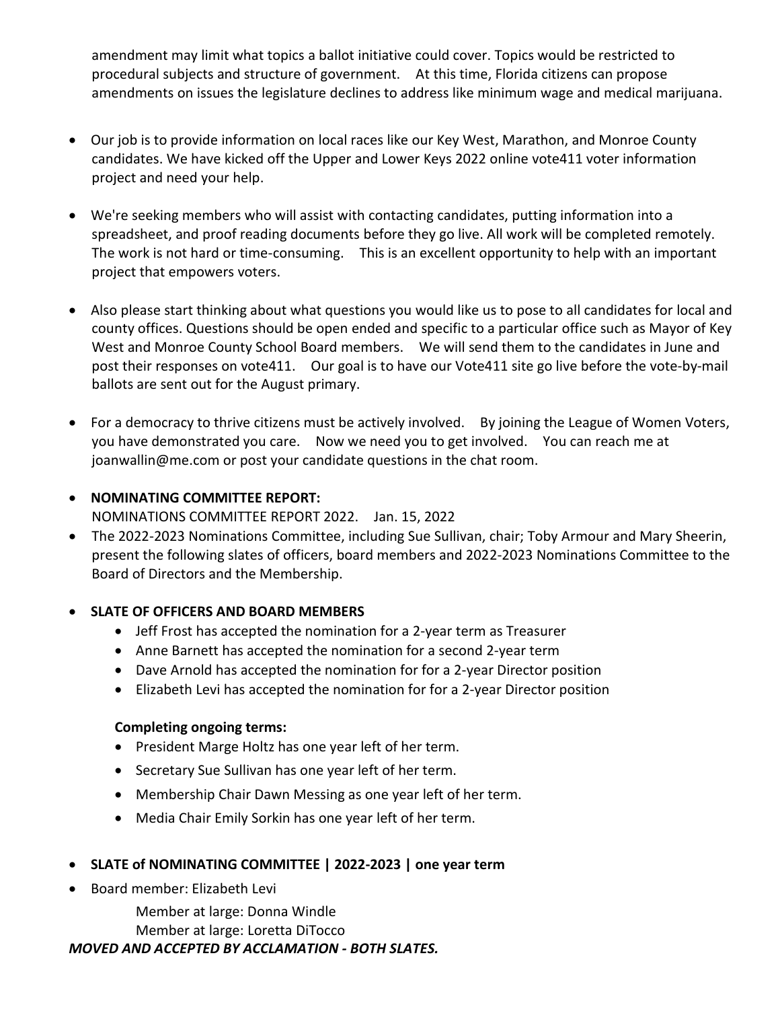amendment may limit what topics a ballot initiative could cover. Topics would be restricted to procedural subjects and structure of government. At this time, Florida citizens can propose amendments on issues the legislature declines to address like minimum wage and medical marijuana.

- Our job is to provide information on local races like our Key West, Marathon, and Monroe County candidates. We have kicked off the Upper and Lower Keys 2022 online vote411 voter information project and need your help.
- We're seeking members who will assist with contacting candidates, putting information into a spreadsheet, and proof reading documents before they go live. All work will be completed remotely. The work is not hard or time-consuming. This is an excellent opportunity to help with an important project that empowers voters.
- Also please start thinking about what questions you would like us to pose to all candidates for local and county offices. Questions should be open ended and specific to a particular office such as Mayor of Key West and Monroe County School Board members. We will send them to the candidates in June and post their responses on vote411. Our goal is to have our Vote411 site go live before the vote-by-mail ballots are sent out for the August primary.
- For a democracy to thrive citizens must be actively involved. By joining the League of Women Voters, you have demonstrated you care. Now we need you to get involved. You can reach me at [joanwallin@me.com](mailto:joanwallin@me.com) or post your candidate questions in the chat room.

## • **NOMINATING COMMITTEE REPORT:**  NOMINATIONS COMMITTEE REPORT 2022. Jan. 15, 2022

• The 2022-2023 Nominations Committee, including Sue Sullivan, chair; Toby Armour and Mary Sheerin, present the following slates of officers, board members and 2022-2023 Nominations Committee to the Board of Directors and the Membership.

## • **SLATE OF OFFICERS AND BOARD MEMBERS**

- Jeff Frost has accepted the nomination for a 2-year term as Treasurer
- Anne Barnett has accepted the nomination for a second 2-year term
- Dave Arnold has accepted the nomination for for a 2-year Director position
- Elizabeth Levi has accepted the nomination for for a 2-year Director position

## **Completing ongoing terms:**

- President Marge Holtz has one year left of her term.
- Secretary Sue Sullivan has one year left of her term.
- Membership Chair Dawn Messing as one year left of her term.
- Media Chair Emily Sorkin has one year left of her term.

## • **SLATE of NOMINATING COMMITTEE | 2022-2023 | one year term**

• Board member: Elizabeth Levi

Member at large: Donna Windle

Member at large: Loretta DiTocco

## *MOVED AND ACCEPTED BY ACCLAMATION - BOTH SLATES.*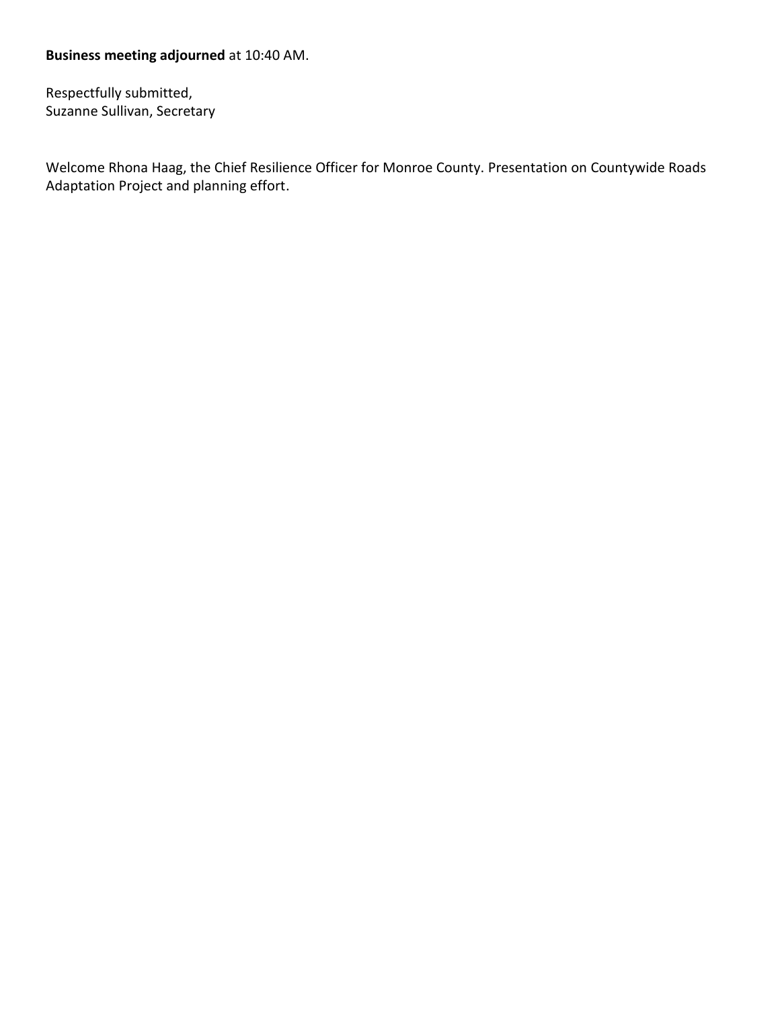## **Business meeting adjourned** at 10:40 AM.

Respectfully submitted, Suzanne Sullivan, Secretary

Welcome Rhona Haag, the Chief Resilience Officer for Monroe County. Presentation on Countywide Roads Adaptation Project and planning effort.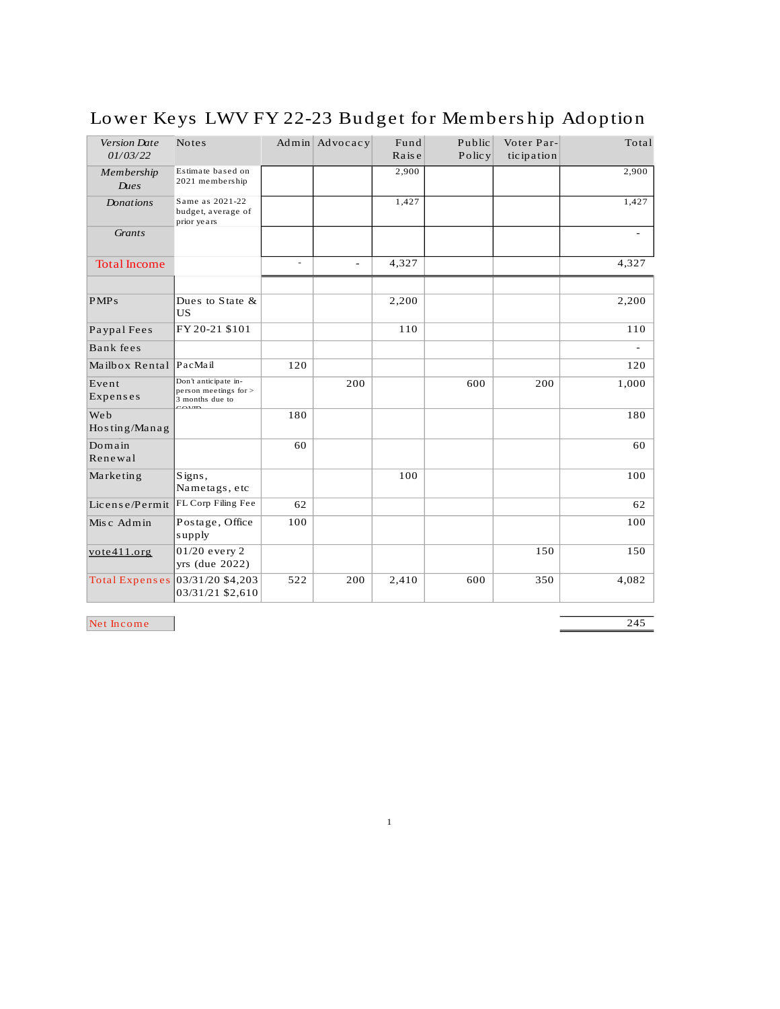| Version Date<br>01/03/22 | <b>Notes</b>                                                               |     | $Admin$ Advocacy | Fund<br>Raise | Public<br>Policy | Voter Par-<br>ticipation | Total          |
|--------------------------|----------------------------------------------------------------------------|-----|------------------|---------------|------------------|--------------------------|----------------|
| Membership<br>Dues       | Estimate based on<br>2021 membership                                       |     |                  | 2,900         |                  |                          | 2,900          |
| <b>Donations</b>         | Same as 2021-22<br>budget, average of<br>prior years                       |     |                  | 1,427         |                  |                          | 1,427          |
| Grants                   |                                                                            |     |                  |               |                  |                          | $\blacksquare$ |
| <b>Total Income</b>      |                                                                            | ÷   |                  | 4,327         |                  |                          | 4,327          |
| PMP <sub>s</sub>         | Dues to State $\&$<br><b>US</b>                                            |     |                  | 2,200         |                  |                          | 2,200          |
| Paypal Fees              | FY 20-21 \$101                                                             |     |                  | 110           |                  |                          | 110            |
| Bank fees                |                                                                            |     |                  |               |                  |                          | $\overline{a}$ |
| Mailbox Rental           | PacMail                                                                    | 120 |                  |               |                  |                          | 120            |
| Event<br>Expenses        | Don't anticipate in-<br>person meetings for ><br>3 months due to<br>$\sim$ |     | 200              |               | 600              | 200                      | 1,000          |
| Web<br>Hosting/Manag     |                                                                            | 180 |                  |               |                  |                          | 180            |
| Domain<br>Renewal        |                                                                            | 60  |                  |               |                  |                          | 60             |
| Marketing                | Signs,<br>Nametags, etc                                                    |     |                  | 100           |                  |                          | 100            |
| License/Permit           | FL Corp Filing Fee                                                         | 62  |                  |               |                  |                          | 62             |
| Misc Admin               | Postage, Office<br>supply                                                  | 100 |                  |               |                  |                          | 100            |
| vote411.org              | 01/20 every 2<br>yrs (due 2022)                                            |     |                  |               |                  | 150                      | 150            |
| Total Expenses           | 03/31/20 \$4,203<br>03/31/21 \$2,610                                       | 522 | 200              | 2,410         | 600              | 350                      | 4,082          |

## Lower Keys LWV FY 22-23 Budget for Membership Adoption

Net Income

 $\overline{245}$